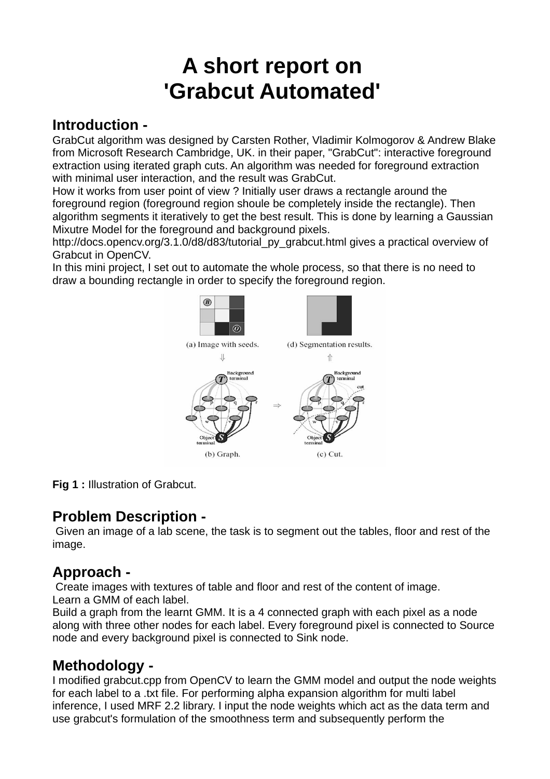# **A short report on 'Grabcut Automated'**

## **Introduction -**

GrabCut algorithm was designed by Carsten Rother, Vladimir Kolmogorov & Andrew Blake from Microsoft Research Cambridge, UK. in their paper, "GrabCut": interactive foreground extraction using iterated graph cuts. An algorithm was needed for foreground extraction with minimal user interaction, and the result was GrabCut.

How it works from user point of view ? Initially user draws a rectangle around the foreground region (foreground region shoule be completely inside the rectangle). Then algorithm segments it iteratively to get the best result. This is done by learning a Gaussian Mixutre Model for the foreground and background pixels.

http://docs.opencv.org/3.1.0/d8/d83/tutorial\_py\_grabcut.html gives a practical overview of Grabcut in OpenCV.

In this mini project, I set out to automate the whole process, so that there is no need to draw a bounding rectangle in order to specify the foreground region.



**Fig 1 :** Illustration of Grabcut.

### **Problem Description -**

 Given an image of a lab scene, the task is to segment out the tables, floor and rest of the image.

# **Approach -**

 Create images with textures of table and floor and rest of the content of image. Learn a GMM of each label.

Build a graph from the learnt GMM. It is a 4 connected graph with each pixel as a node along with three other nodes for each label. Every foreground pixel is connected to Source node and every background pixel is connected to Sink node.

# **Methodology -**

I modified grabcut.cpp from OpenCV to learn the GMM model and output the node weights for each label to a .txt file. For performing alpha expansion algorithm for multi label inference, I used MRF 2.2 library. I input the node weights which act as the data term and use grabcut's formulation of the smoothness term and subsequently perform the